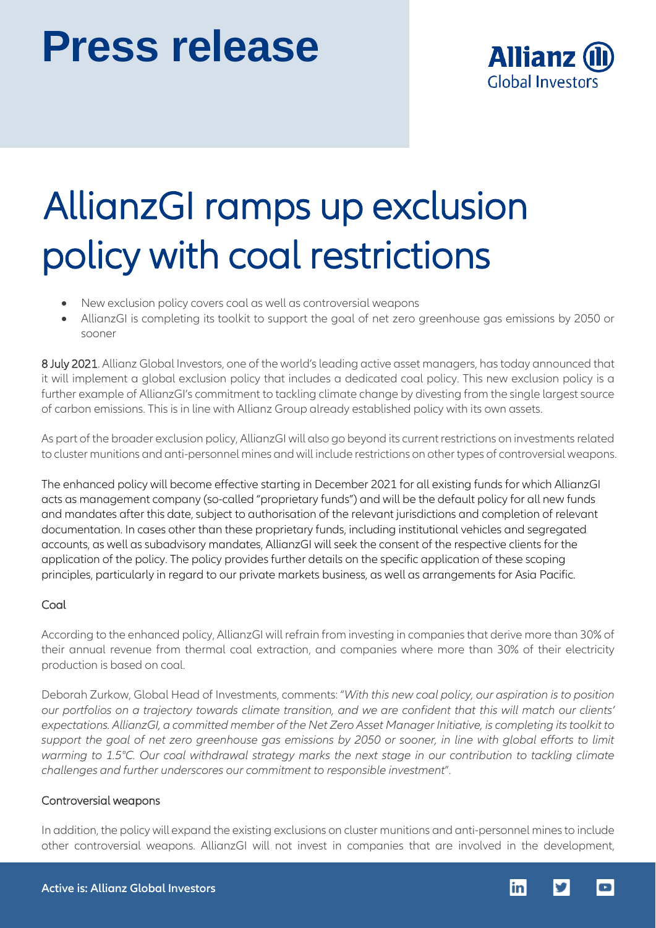# **Press release**



## AllianzGI ramps up exclusion policy with coal restrictions

- New exclusion policy covers coal as well as controversial weapons
- AllianzGI is completing its toolkit to support the goal of net zero greenhouse gas emissions by 2050 or sooner

8 July 2021. Allianz Global Investors, one of the world's leading active asset managers, has today announced that it will implement a global exclusion policy that includes a dedicated coal policy. This new exclusion policy is a further example of AllianzGI's commitment to tackling climate change by divesting from the single largest source of carbon emissions. This is in line with Allianz Group already established policy with its own assets.

As part of the broader exclusion policy, AllianzGI will also go beyond its current restrictions on investments related to cluster munitions and anti-personnel mines and will include restrictions on other types of controversial weapons.

The enhanced policy will become effective starting in December 2021 for all existing funds for which AllianzGI acts as management company (so-called "proprietary funds") and will be the default policy for all new funds and mandates after this date, subject to authorisation of the relevant jurisdictions and completion of relevant documentation. In cases other than these proprietary funds, including institutional vehicles and segregated accounts, as well as subadvisory mandates, AllianzGI will seek the consent of the respective clients for the application of the policy. The policy provides further details on the specific application of these scoping principles, particularly in regard to our private markets business, as well as arrangements for Asia Pacific.

## **Coal**

According to the enhanced policy, AllianzGI will refrain from investing in companies that derive more than 30% of their annual revenue from thermal coal extraction, and companies where more than 30% of their electricity production is based on coal.

Deborah Zurkow, Global Head of Investments, comments: "*With this new coal policy, our aspiration is to position our portfolios on a trajectory towards climate transition, and we are confident that this will match our clients' expectations. AllianzGI, a committed member of the Net Zero Asset Manager Initiative, is completing itstoolkit to support the goal of net zero greenhouse gas emissions by 2050 or sooner, in line with global efforts to limit warming to 1.5°C. Our coal withdrawal strategy marks the next stage in our contribution to tackling climate challenges and further underscores our commitment to responsible investment*".

## Controversial weapons

In addition, the policy will expand the existing exclusions on cluster munitions and anti-personnel minesto include other controversial weapons. AllianzGI will not invest in companies that are involved in the development,